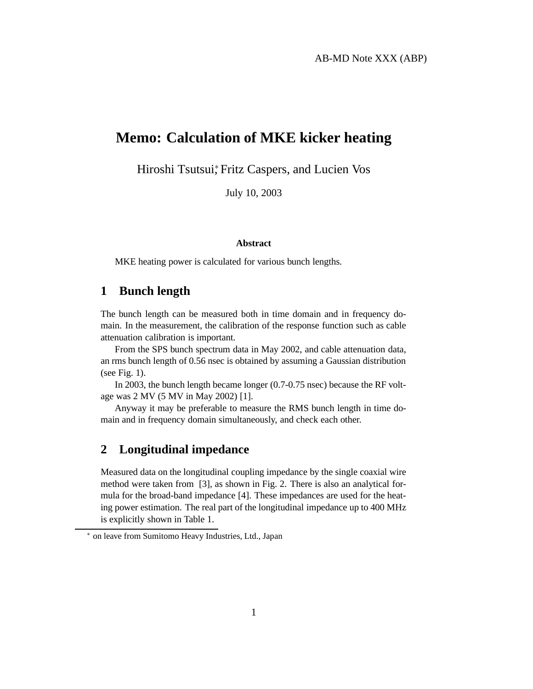# **Memo: Calculation of MKE kicker heating**

Hiroshi Tsutsui, Fritz Caspers, and Lucien Vos

July 10, 2003

#### **Abstract**

MKE heating power is calculated for various bunch lengths.

# **1 Bunch length**

The bunch length can be measured both in time domain and in frequency domain. In the measurement, the calibration of the response function such as cable attenuation calibration is important.

From the SPS bunch spectrum data in May 2002, and cable attenuation data, an rms bunch length of 0.56 nsec is obtained by assuming a Gaussian distribution (see Fig. 1).

In 2003, the bunch length became longer (0.7-0.75 nsec) because the RF voltage was 2 MV (5 MV in May 2002) [1].

Anyway it may be preferable to measure the RMS bunch length in time domain and in frequency domain simultaneously, and check each other.

#### **2 Longitudinal impedance**

Measured data on the longitudinal coupling impedance by the single coaxial wire method were taken from [3], as shown in Fig. 2. There is also an analytical formula for the broad-band impedance [4]. These impedances are used for the heating power estimation. The real part of the longitudinal impedance up to 400 MHz is explicitly shown in Table 1.

<sup>∗</sup> on leave from Sumitomo Heavy Industries, Ltd., Japan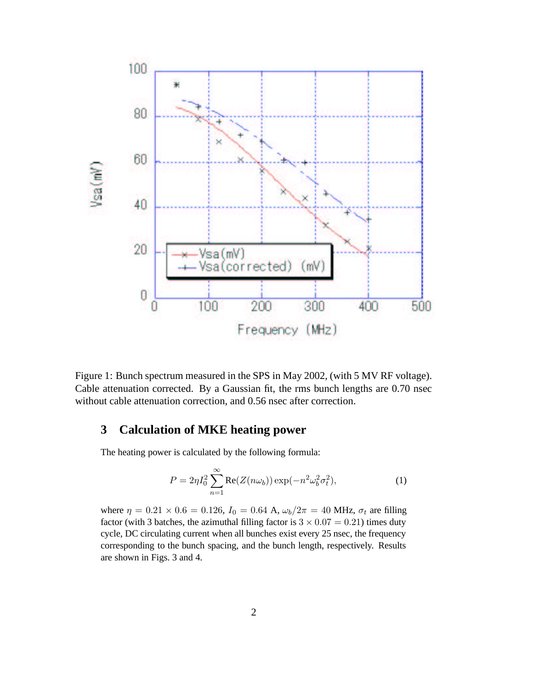

Figure 1: Bunch spectrum measured in the SPS in May 2002, (with 5 MV RF voltage). Cable attenuation corrected. By a Gaussian fit, the rms bunch lengths are 0.70 nsec without cable attenuation correction, and 0.56 nsec after correction.

# **3 Calculation of MKE heating power**

The heating power is calculated by the following formula:

$$
P = 2\eta I_0^2 \sum_{n=1}^{\infty} \text{Re}(Z(n\omega_b)) \exp(-n^2 \omega_b^2 \sigma_t^2), \tag{1}
$$

where  $\eta = 0.21 \times 0.6 = 0.126$ ,  $I_0 = 0.64$  A,  $\omega_b/2\pi = 40$  MHz,  $\sigma_t$  are filling factor (with 3 batches, the azimuthal filling factor is  $3 \times 0.07 = 0.21$ ) times duty cycle, DC circulating current when all bunches exist every 25 nsec, the frequency corresponding to the bunch spacing, and the bunch length, respectively. Results are shown in Figs. 3 and 4.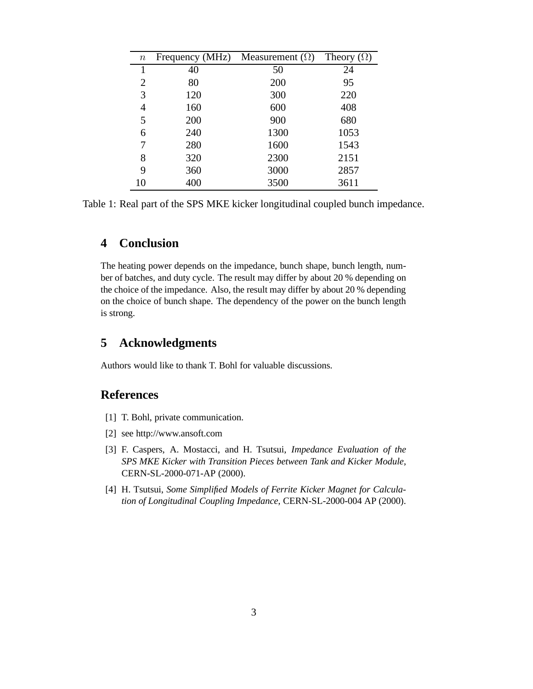| $\it n$ | Frequency (MHz) | Measurement $(\Omega)$ | Theory $(\Omega)$ |
|---------|-----------------|------------------------|-------------------|
| 1       | 40              | 50                     | 24                |
| 2       | 80              | 200                    | 95                |
| 3       | 120             | 300                    | 220               |
| 4       | 160             | 600                    | 408               |
| 5       | 200             | 900                    | 680               |
| 6       | 240             | 1300                   | 1053              |
| 7       | 280             | 1600                   | 1543              |
| 8       | 320             | 2300                   | 2151              |
| 9       | 360             | 3000                   | 2857              |
| 10      | 400             | 3500                   | 3611              |

Table 1: Real part of the SPS MKE kicker longitudinal coupled bunch impedance.

## **4 Conclusion**

The heating power depends on the impedance, bunch shape, bunch length, number of batches, and duty cycle. The result may differ by about 20 % depending on the choice of the impedance. Also, the result may differ by about 20 % depending on the choice of bunch shape. The dependency of the power on the bunch length is strong.

# **5 Acknowledgments**

Authors would like to thank T. Bohl for valuable discussions.

# **References**

- [1] T. Bohl, private communication.
- [2] see http://www.ansoft.com
- [3] F. Caspers, A. Mostacci, and H. Tsutsui, *Impedance Evaluation of the SPS MKE Kicker with Transition Pieces between Tank and Kicker Module*, CERN-SL-2000-071-AP (2000).
- [4] H. Tsutsui, *Some Simplified Models of Ferrite Kicker Magnet for Calculation of Longitudinal Coupling Impedance*, CERN-SL-2000-004 AP (2000).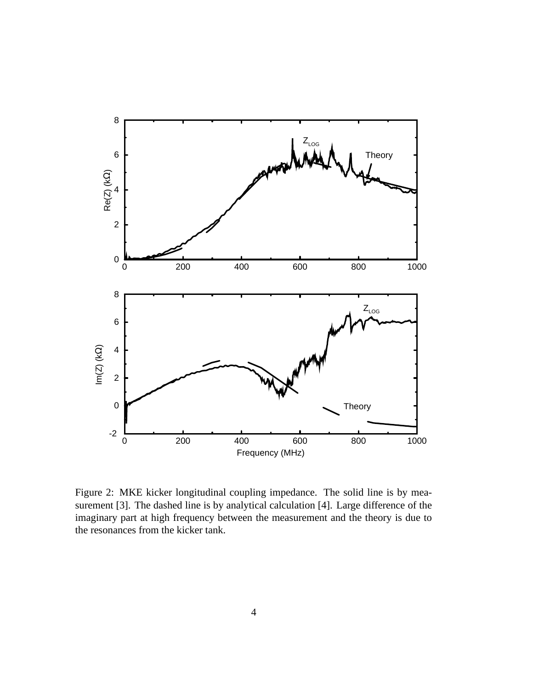

Figure 2: MKE kicker longitudinal coupling impedance. The solid line is by measurement [3]. The dashed line is by analytical calculation [4]. Large difference of the imaginary part at high frequency between the measurement and the theory is due to the resonances from the kicker tank.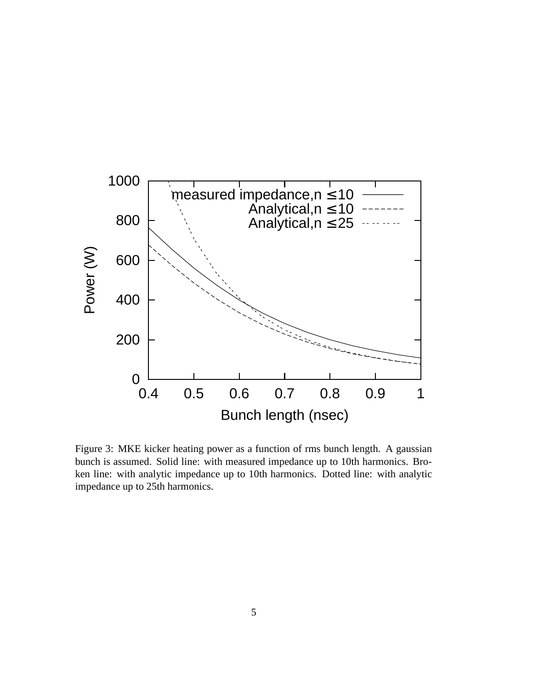

Figure 3: MKE kicker heating power as a function of rms bunch length. A gaussian bunch is assumed. Solid line: with measured impedance up to 10th harmonics. Broken line: with analytic impedance up to 10th harmonics. Dotted line: with analytic impedance up to 25th harmonics.